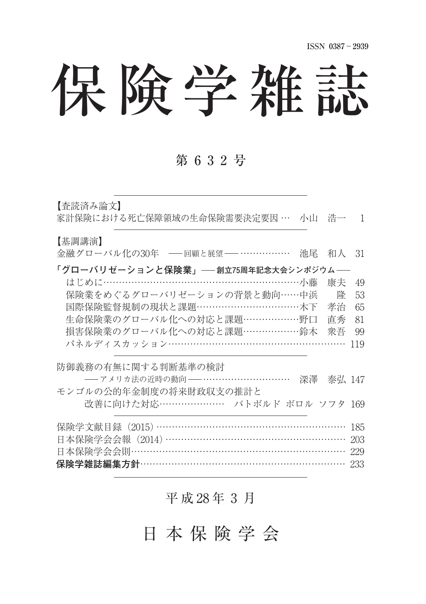# 保険学雑誌

## 第632号

【杏読済み論文】 家計保険における死亡保障領域の生命保険需要決定要因 … 小山 浩一 1 【基調講演】 金融グローバル化の30年 – 回顧と展望 – …………… 池尾 和人 31 **「グローバリゼーションと保険業」 創立75周年記念大会シンポジウム** はじめに………………………………………………………………………小藤 康夫 49 保険業をめぐるグローバリゼーションの背景と動向……中浜 隆 53 国際保険監督規制の現状と課題……………………………………木下 孝治 65 牛命保険業のグローバル化への対応と課題 ………………野口 直秀 81 損害保険業のグローバル化への対応と課題………………鈴木 衆吾 99 パネルディスカッション………………………………………………… 119 防御義務の有無に関する判断基準の検討 ---- アメリカ法の近時の動向 ----------------------------- 深澤 泰弘 147 モンゴルの公的年金制度の将来財政収支の推計と 改善に向けた対応…………………… バトボルド ボロル ソフタ 169 保険学文献目録 (2015) ……………………………………………… 185 日本保険学会会報 (2014) ……………………………………………… 203 日本保険学会会則229 保険学雑誌編集方針……………………………………………………… 233

## 平 成 28 年 3 月

## 日本保険学会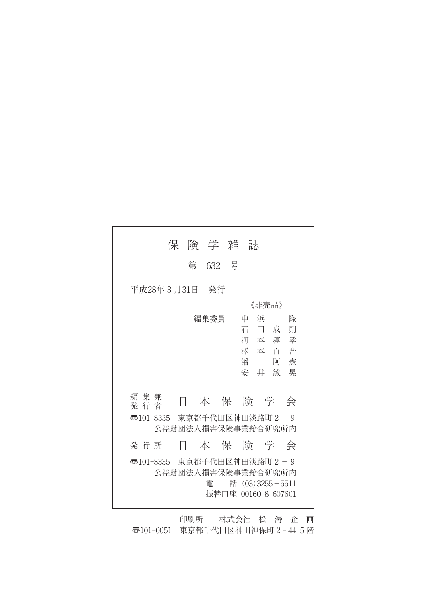| 保<br>険 学 雑 誌                                                                                                                                                                               |
|--------------------------------------------------------------------------------------------------------------------------------------------------------------------------------------------|
| 第 632 号                                                                                                                                                                                    |
| 平成28年 3 月31日<br>- 発行                                                                                                                                                                       |
| 《非壳品》                                                                                                                                                                                      |
| 編集委員<br>浜<br>降<br>中<br>石<br>則<br>Ħ.<br>成<br>河本淳<br>孝<br>澤本百合<br>潘<br>憲<br>阿<br>安 井<br>敏<br>晃<br>編 集 兼<br>本 保 険 学<br>E<br>会<br>発 行 者<br>  50101-8335  東京都千代田区神田淡路町2−9<br>公益財団法人捐害保険事業総合研究所内 |
|                                                                                                                                                                                            |
| 本保険学会<br>発 行 所<br>Ħ                                                                                                                                                                        |
| 東京都千代田区神田淡路町2-9<br>ক্ত101-8335<br>公益財団法人損害保険事業総合研究所内<br>話 $(03)$ 3255 - 5511<br>雷<br>振替口座 00160-8-607601                                                                                   |

印刷所 株式会社 松 涛 企 画 〠101-0051 東京都千代田区神田神保町 2 - 44 5 階